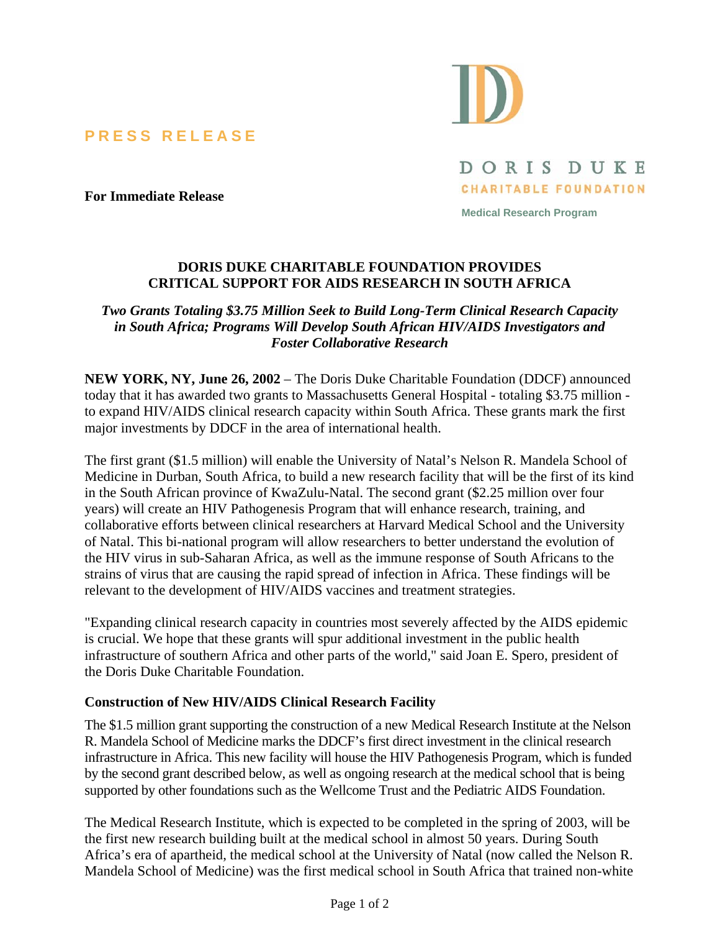**PRESS RELEASE** 



DORIS DUKE **CHARITABLE FOUNDATION** 

**For Immediate Release** 

**Medical Research Program** 

## **DORIS DUKE CHARITABLE FOUNDATION PROVIDES CRITICAL SUPPORT FOR AIDS RESEARCH IN SOUTH AFRICA**

*Two Grants Totaling \$3.75 Million Seek to Build Long-Term Clinical Research Capacity in South Africa; Programs Will Develop South African HIV/AIDS Investigators and Foster Collaborative Research*

**NEW YORK, NY, June 26, 2002** – The Doris Duke Charitable Foundation (DDCF) announced today that it has awarded two grants to Massachusetts General Hospital - totaling \$3.75 million to expand HIV/AIDS clinical research capacity within South Africa. These grants mark the first major investments by DDCF in the area of international health.

The first grant (\$1.5 million) will enable the University of Natal's Nelson R. Mandela School of Medicine in Durban, South Africa, to build a new research facility that will be the first of its kind in the South African province of KwaZulu-Natal. The second grant (\$2.25 million over four years) will create an HIV Pathogenesis Program that will enhance research, training, and collaborative efforts between clinical researchers at Harvard Medical School and the University of Natal. This bi-national program will allow researchers to better understand the evolution of the HIV virus in sub-Saharan Africa, as well as the immune response of South Africans to the strains of virus that are causing the rapid spread of infection in Africa. These findings will be relevant to the development of HIV/AIDS vaccines and treatment strategies.

"Expanding clinical research capacity in countries most severely affected by the AIDS epidemic is crucial. We hope that these grants will spur additional investment in the public health infrastructure of southern Africa and other parts of the world," said Joan E. Spero, president of the Doris Duke Charitable Foundation.

## **Construction of New HIV/AIDS Clinical Research Facility**

The \$1.5 million grant supporting the construction of a new Medical Research Institute at the Nelson R. Mandela School of Medicine marks the DDCF's first direct investment in the clinical research infrastructure in Africa. This new facility will house the HIV Pathogenesis Program, which is funded by the second grant described below, as well as ongoing research at the medical school that is being supported by other foundations such as the Wellcome Trust and the Pediatric AIDS Foundation.

The Medical Research Institute, which is expected to be completed in the spring of 2003, will be the first new research building built at the medical school in almost 50 years. During South Africa's era of apartheid, the medical school at the University of Natal (now called the Nelson R. Mandela School of Medicine) was the first medical school in South Africa that trained non-white